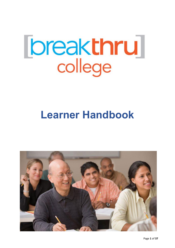# **Ibreakthru**

# **Learner Handbook**

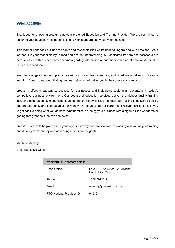# **WELCOME**

Thank you for choosing breakthru as your preferred Education and Training Provider. We are committed to ensuring your educational experience is of a high standard and value your business.

This learner handbook outlines the rights and responsibilities whilst undertaking training with breakthru. As a learner, it is your responsibility to read and ensure understanding, our dedicated trainers and assessors are here to assist with queries and concerns regarding information about our courses or information detailed in the learner handbook.

We offer a range of delivery options for various courses, from e-learning and face-to-face delivery to distance learning. Speak to us about finding the best delivery method for you in the course you want to do.

breakthru offers a pathway to success for businesses and individuals seeking an advantage in today's competitive business environment. Our vocational education services deliver the highest quality training including both nationally recognized courses and job-ready skills. Better still, our training is delivered quickly and professionally and is great value for money. Our courses deliver current and relevant skills to assist you to get back to doing what you do best. Whether that is running your business with a highly skilled workforce or getting that great next job, we can help!

breakthru is here to help and assist you on your pathway and looks forward to working with you on your training and development journey and advancing in your career goals.

Matthew Mackay

Chief Executive Officer

| breakthru RTO contact details |                                                   |  |  |  |
|-------------------------------|---------------------------------------------------|--|--|--|
| <b>Head Office</b>            | Level 10, 52 Alfred St, Milsons<br>Point NSW 2061 |  |  |  |
| Phone                         | 1800 767 212                                      |  |  |  |
| Email                         | training@breakthru.org.au                         |  |  |  |
| RTO National Provider ID      | 91512                                             |  |  |  |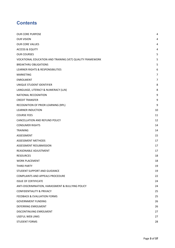# **Contents**

| <b>OUR CORE PURPOSE</b>                                   | 4  |
|-----------------------------------------------------------|----|
| <b>OUR VISION</b>                                         | 4  |
| <b>OUR CORE VALUES</b>                                    | 4  |
| <b>ACCESS &amp; EQUITY</b>                                | 4  |
| <b>OUR COURSES</b>                                        | 5  |
| VOCATIONAL EDUCATION AND TRAINING (VET) QUALITY FRAMEWORK | 5  |
| <b>BREAKTHRU OBLIGATIONS</b>                              | 5  |
| LEARNER RIGHTS & RESPONSIBILITIES                         | 6  |
| <b>MARKETING</b>                                          | 7  |
| <b>ENROLMENT</b>                                          | 7  |
| UNIQUE STUDENT IDENTIFIER                                 | 8  |
| LANGUAGE, LITERACY & NUMERACY (LLN)                       | 8  |
| NATIONAL RECOGNITION                                      | 9  |
| <b>CREDIT TRANSFER</b>                                    | 9  |
| RECOGNITION OF PRIOR LEARNING (RPL)                       | 9  |
| <b>LEARNER INDUCTION</b>                                  | 10 |
| <b>COURSE FEES</b>                                        | 11 |
| CANCELLATION AND REFUND POLICY                            | 12 |
| <b>CONSUMER RIGHTS</b>                                    | 14 |
| <b>TRAINING</b>                                           | 14 |
| ASSESSMENT                                                | 15 |
| <b>ASSESSMENT METHODS</b>                                 | 17 |
| ASSESSMENT RESUBMISSION                                   | 17 |
| REASONABLE ADJUSTMENT                                     | 17 |
| <b>RESOURCES</b>                                          | 18 |
| <b>WORK PLACEMENT</b>                                     | 18 |
| THIRD PARTY                                               | 19 |
| STUDENT SUPPORT AND GUIDANCE                              | 19 |
| COMPLAINTS AND APPEALS PROCEDURE                          | 22 |
| <b>ISSUE OF CERTIFICATE</b>                               | 24 |
| ANTI-DISCRIMINATION, HARASSMENT & BULLYING POLICY         | 24 |
| <b>CONFIDENTIALITY &amp; PRIVACY</b>                      | 25 |
| <b>FEEDBACK &amp; EVALUATION FORMS</b>                    | 25 |
| <b>GOVERNMENT FUNDING</b>                                 | 26 |
| DEFERRING ENROLMENT                                       | 26 |
| DISCONTINUING ENROLMENT                                   | 27 |
| <b>USEFUL WEB LINKS</b>                                   | 27 |
| <b>STUDENT FORMS</b>                                      | 28 |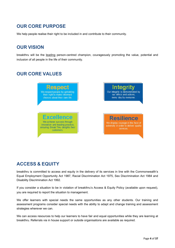# <span id="page-3-0"></span>**OUR CORE PURPOSE**

We help people realise their right to be included in and contribute to their community.

# <span id="page-3-1"></span>**OUR VISION**

breakthru will be the leading person-centred champion, courageously promoting the value, potential and inclusion of all people in the life of their community.

# <span id="page-3-2"></span>**OUR CORE VALUES**



# <span id="page-3-3"></span>**ACCESS & EQUITY**

breakthru is committed to access and equity in the delivery of its services in line with the Commonwealth's Equal Employment Opportunity Act 1987, Racial Discrimination Act 1975, Sex Discrimination Act 1984 and Disability Discrimination Act 1992.

If you consider a situation to be in violation of breakthru's Access & Equity Policy (available upon request), you are required to report the situation to management.

We offer learners with special needs the same opportunities as any other students. Our training and assessment programs consider special needs with the ability to adapt and change training and assessment strategies wherever we can.

We can access resources to help our learners to have fair and equal opportunities while they are learning at breakthru. Referrals via in house support or outside organisations are available as required.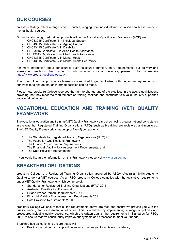# <span id="page-4-0"></span>**OUR COURSES**

breakthru College offers a range of VET courses, ranging from individual support, allied health assistance to mental health courses.

Our nationally recognized training products within the Australian Qualification Framework (AQF) are:

- 1. CHC33015 Certificate III in Individual Support
- 2. CHC43015 Certificate IV in Ageing Support
- 3. CHC43115 Certificate IV in Disability
- 4. HLT33015 Certificate III in Allied Health Assistance
- 5. HLT43015 Certificate IV in Allied Health Assistance
- 6. CHC43315 Certificate IV in Mental Health
- 7. CHC43515 Certificate IV in Mental Health Peer Work

For more information about our courses such as course duration, entry requirements, our delivery and assessment methods, the number of units including core and elective, please go to our website <https://www.breakthrucollege.edu.au/>

Prior to enrolment, all prospective learners are required to get familiarized with the course requirements on our website to ensure that an informed decision can be made.

Please note breakthru College reserves the right to change any of the electives in the above qualifications providing that they meet the requirements of training package and contribute to a valid, industry supported vocational outcome.

# <span id="page-4-1"></span>**VOCATIONAL EDUCATION AND TRAINING (VET) QUALITY FRAMEWORK**

The vocational education and training (VET) Quality Framework aims at achieving greater national consistency in the way that Registered Training Organisations (RTO), such as breakthru are registered and monitored. The VET Quality Framework is made up of five (5) components:

- 1. The Standards for Registered Training Organisations (RTO) 2015
- 2. The Australian Qualifications Framework
- 3. The Fit and Proper Person Requirements
- 4. The Financial Viability Risk Assessment Requirements, and
- 5. The Data Provision Requirements

If you would like further information on this Framework please visit [www.asqa.gov.au.](http://www.asqa.gov.au/)

# <span id="page-4-2"></span>**BREAKTHRU OBLIGATIONS**

breakthru College is a Registered Training Organisation approved by ASQA (Australian Skills Authority Quality) to deliver VET courses. As an RTO, breakthru College complies with the legislative requirements under VET Quality Frameworks which comprise of:

- Standards for Registered Training Organisations (RTO) 2015
- Australian Qualification Framework
- Fit and Proper Person Requirements 2011
- Financial Viability Risk Assessment Requirements 2011
- Data Provision Requirements 2020

breakthru College will ensure that all the requirements above are met, and ensure we provide you with the quality training and assessment at all times. This is achieved by implementing a range of policies and procedures including quality assurance, which are written against the requirements in Standards for RTOs 2015, to ensure that we continuously improve our systems and processes to meet your needs.

Breakthru has obligations to ensure that it will:

• Provide the training and support necessary to allow you to achieve competency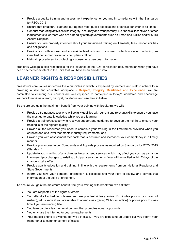- Provide a quality training and assessment experience for you and in compliance with the Standards for RTOs 2015.
- Ensure that breakthru, staff and our agents meet public expectations of ethical behavior at all times.
- Conduct marketing activities with integrity, accuracy and transparency. No financial incentives or other inducements to learners who are funded by state governments such as Smart and Skilled and/or Skills Assure Supplier.
- Ensure you are properly informed about your subsidised training entitlements, fees, responsibilities and obligations.
- Provide you with a clear and accessible feedback and consumer protection system including an identified consumer protection / complaints officer.
- Maintain procedures for protecting a consumer's personal information.

breakthru College is also responsible for the issuance of the AQF certification documentation when you have been deemed competent in the units that you have been enrolled into.

# <span id="page-5-0"></span>**LEARNER RIGHTS & RESPONSIBILITIES**

breakthru's core values underpins the 4 principles in which is expected by learners and staff to adhere to in providing a safe and equitable workplace – **Respect, Integrity, Resilience and Excellence.** We are committed to ensuring our learners are well equipped to participate in today's workforce and encourage learners to work as a team, be loyal, courteous and use their initiative.

To ensure you gain the maximum benefit from your training with breakthru, we will:

- Provide a trainer/assessor who will be fully qualified with current and relevant skills to ensure you have the most up to date knowledge while you are learning;
- Provide a trainer/assessor who receives support and guidance to develop their skills to ensure your training is of the highest quality;
- Provide all the resources you need to complete your training in the timeframes provided when you enrolled and at a level that meets industry requirements; and
- Provide you with assessment feedback that is accurate and increases your competency in a timely manner.
- Provide you access to our Complaints and Appeals process as required by Standards for RTOs 2015 (Standard 6)
- Update to you in writing of any changes to our agreed services which may affect you such as a change in ownership or changes to existing third party arrangements. You will be notified within 7 days of the change to take effect.
- Provide quality education and training, in line with the requirements from our National Regulator and State Governments.
- Inform you how your personal information is collected and your right to review and correct that information at the point of enrolment.

To ensure you gain the maximum benefit from your training with breakthru, we ask that:

- You are respectful of the rights of others:
- You attend all scheduled classes and are punctual (ideally arrive 10 minutes prior so you are not rushed), let us know if you are unable to attend class (giving 24 hours' notice) or phone prior to class time if you are running late;
- You take part in a learning environment that promotes equal opportunity;
- You only use the internet for course requirements:
- Your mobile phone is switched off while in class. If you are expecting an urgent call you inform your trainer prior to commencement of class;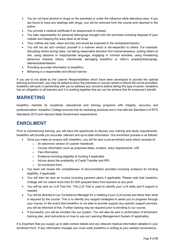- You do not have alcohol or drugs on the premises or under the influence while attending class. If you are found to have any dealings with drugs, you will be removed from the course and reported to the police;
- You provide a medical certificate if an assessment is missed;
- You take responsibility for personal belongings brought onto the premises including disposal of your rubbish and keeping the area clean at all times
- Your clothes are neat, clean and tidy and would be expected in the workplace/industry;
- You will not act and conduct yourself in a manner which is dis-respectful to others. For example: disrupting others during class, not taking reasonable direction from trainer/assessor, putting others at risk, using obscene or inappropriate language, engaging in criminal activities, using threatening behaviour towards others, intentionally damaging breakthru or other's property/belongings, lateness/absenteeism.
- Providing accurate information to breakthru.
- Behaving in a responsible and ethical manner.

If you are to not abide by the Learner Responsibilities which have been developed to provide the optimal learning environment, you may be asked to leave the premises or course (where a refund will not be provided). breakthru will work in partnership with you to address any concerns before taking this type of action. breakthru has an obligation to all learners and it is working together that we can be achieve this for everyone's benefit.

# <span id="page-6-0"></span>**MARKETING**

breakthru markets its vocational, educational and training programs with integrity, accuracy and professionalism. breakthru College ensures that its marketing practices are in line with the Standard 4 of RTO Standards 2015 and relevant State Government requirements.

# <span id="page-6-1"></span>**ENROLMENT**

Prior to commencing training, you will have the opportunity to discuss your training and study requirements. breakthru will provide you accurate, relevant and up-to-date information. Our enrolment process is as follows:

- Once you make an enquiry with breakthru, you will be sent a pre-enrolment pack which consists of:
	- o An electronic version of Learner Handbook
	- $\circ$  Course information such as proposed dates, location, entry requirements, USI
	- o Fee information
	- o Evidence including eligibility to funding if applicable
	- o Advice about the availability of Credit Transfer and RPL
	- o An enrolment form.
- Our team will review the completeness of documentation provided including evidence for funding eligibility, if applicable
- You will then be sent an invoice including payment plans if applicable. Please note that breakthru College will not collect more than \$1,500 (prepaid fees) from learners at any point
- You will be sent an LLN Test link. The LLN Test is used to identify your LLN skills and if support is needed.
- You will be directed to our Compliance Manager for a meeting if your LLN scores are below than what is required by the course. This is to identify any support strategies to assist you to progress through your course. In the event that breakthru is not able to provide support any specific support services, you will be informed of this. Further training may be required prior to enrolling to our course.
- If successful, you will be enrolled into our system. You will also be sent a confirmation of enrolment, training plan, and instructions on how to use our Learning Management System (if applicable).

It is important that you supply up to date contact details and any relevant medical information detailed in your enrolment form. If any information changes you must notify breakthru in writing at your earliest convenience.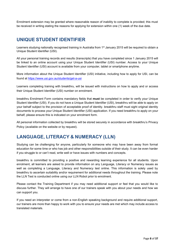Enrolment extension may be granted where reasonable reason of inability to complete is provided; this must be received in writing stating the reasons for applying for extension within one (1) week of the due date.

# <span id="page-7-0"></span>**UNIQUE STUDENT IDENTIFIER**

Learners studying nationally recognised training in Australia from 1<sup>st</sup> January 2015 will be required to obtain a Unique Student Identifier (USI).

All your personal training records and results (transcripts) that you have completed since 1 January 2015 will be linked to an online account using your Unique Student Identifier (USI) number. Access to your Unique Student Identifier (USI) account is available from your computer, tablet or smartphone anytime.

More information about the Unique Student Identifier (USI) initiative, including how to apply for USI, can be found at<https://www.usi.gov.au/students/get-a-usi>

Learners completing training with breakthru, will be issued with instructions on how to apply and or access their Unique Student Identifier (USI) number on enrolment.

breakthru Enrolment Form contains mandatory fields that **must** be completed in order to verify your Unique Student Identifier (USI). If you do not have a Unique Student Identifier (USI), breakthru will be able to apply on your behalf subject to the provision of acceptable proof of identity. breakthru staff must sight original identity documents to process your Unique Student Identifier (USI) application. If you need breakthru to apply on your behalf, please ensure this is indicated on your enrolment form.

All personal information collected by breakthru will be stored securely in accordance with breakthru's Privacy Policy (available on the website or by request).

# <span id="page-7-1"></span>**LANGUAGE, LITERACY & NUMERACY (LLN)**

Studying can be challenging for anyone, particularly for someone who may have been away from formal education for some time or who has job and other responsibilities outside of their study. It can be even harder if you struggle to or can't read, write well or have issues with numbers and concepts.

breakthru is committed to providing a positive and rewarding learning experience for all students. Upon enrolment, all learners are asked to provide information on any Language, Literacy or Numeracy issues as well as completing a Language, Literacy and Numeracy test online. This information is solely used by breakthru to ascertain suitability and/or requirement for additional needs throughout the training. Please note the LLN Test is conducted online using our LLN Robot prior to enrolment.

Please contact the Training Department if you may need additional support or feel that you would like to discuss further. They will arrange to have one of our trainers speak with you about your needs and how we can support you.

If you need an interpreter or come from a non-English speaking background and require additional support, our trainers are more than happy to work with you to ensure your needs are met which may include access to translated materials.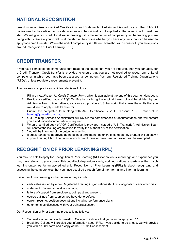# <span id="page-8-0"></span>**NATIONAL RECOGNITION**

breakthru recognises accredited Qualifications and Statements of Attainment issued by any other RTO. All copies need to be certified to provide assurance if the original is not supplied at the same time to breakthru staff. We will give you credit for all earlier training if it is the same unit of competency as the training you are doing with us. We ask you to tell us at the start of the course whether you have any units that can be used to apply for a credit transfer. Where the unit of competency is different, breakthru will discuss with you the options around Recognition of Prior Learning (RPL).

# <span id="page-8-1"></span>**CREDIT TRANSFER**

If you have completed the same unit/s that relate to the course that you are studying, then you can apply for a Credit Transfer. Credit transfer is provided to ensure that you are not required to repeat any units of competency in which you have been assessed as competent from any Registered Training Organisations (RTOs), unless regulatory requirements prevent it.

The process to apply for a credit transfer is as follows:

- 1. Fill in an *Application for Credit Transfer Form*, which is available at the end of this Learner Handbook.
- 2. Provide a certified copy of AQF Certification or bring the original transcript and be sighted by our Admission Team. Alternatively, you can also provide a USI transcript that shows the unit/s that you would like to apply credit transfer for.
- 3. Submit the completed form along with AQF Certification / VET Transcript / USI Transcript to [training@breakthru.org.au](mailto:training@breakthru.org.au)
- 4. Our Training Services Administrator will review the completeness of documentation and will contact you if additional documentation is required.
- 5. When a certified copy of AQF Certification is provided (instead of USI Transcript), Admission Team will contact the issuing organisation to verify the authenticity of the certification.
- 6. You will be informed of the outcome in writing.
- 7. If credit transfer is approved at the point of enrolment, the unit/s of competency granted will be shown in your Training Plan. The unit/s in which credit transfer have been approved, will be exempted

# <span id="page-8-2"></span>**RECOGNITION OF PRIOR LEARNING (RPL)**

You may be able to apply for Recognition of Prior Learning (RPL) for previous knowledge and experience you may have relevant to your course. This could include previous study, work, educational experiences that match learning outcomes for an accredited unit. Recognition of Prior Learning (RPL) is about recognizing and assessing the competencies that you have acquired through formal, non-formal and informal learning.

Evidence of prior learning and experience may include:

- certificates issued by other Registered Training Organisations (RTO's) originals or certified copies;
- statement of attendance at workshops;
- letters of support from employers, both past and present;
- course outlines from courses you have done before;
- current resume, position descriptions including performance plans;
- other items as discussed with your trainer/assessor.

Our Recognition of Prior Learning process is as follows:

- 1. You make an enquiry with breakthru College to indicate that you want to apply for RPL.
- 2. breakthru College will provide you information about RPL. If you decide to go ahead, we will provide you with an RPL form and a copy of the RPL Self-Assessment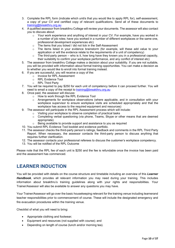- 3. Complete the RPL form (indicate which unit/s that you would like to apply RPL for), self-assessment, a copy of your CV and certified copy of relevant qualifications. Send all of these documents to [training@breakthru.org.au](mailto:training@breakthru.org.au)
- 4. A qualified assessor from breakthru College will review your documents. The assessor will also contact you to discuss about:
	- Your work experience and anything of interest in your CV. For example, have you worked in a number of job roles; have you worked in a number of different workplaces or the same one, professional development experiences etc)
	- o The items that you ticked / did not tick in the Self-Assessment
	- $\circ$  The items listed in your evidence brainstorm (for example, will these add value to your application or will the evidence relate to the requirements of a unit of competency)
	- $\circ$  The third-party person who is it, how long have they known you in a professional capacity, their suitability to confirm your workplace performance, and any conflict of interest etc)
- 5. The assessor from breakthru College makes a decision about your suitability. If you are not suitable, you will be provided with information about formal training opportunities. You can make a decision as to whether you would like to enroll into formal training instead.
- 6. If you are successful, you will receive a copy of the:
	- o Invoice for RPL Assessment
		- o RPL Evidence Tool
		- o RPL Third Party
- 7. You will be required to pay \$250 for each unit of competency before it can proceed further. You will need to email a copy of the receipt to [training@breakthru.org.au](mailto:training@breakthru.org.au)
- 8. Once paid, the assessor will discuss:
	- $\circ$  How to work through the RPL Evidence Tool
	- $\circ$  Arrangements for workplace observations (where applicable, and in consultation with your workplace supervisor to ensure workplace visits are scheduled appropriately and that the workplace has access to the required equipment and resources)
- 9. The assessor will participate in the RPL Assessment process which will include:
	- o Visiting your workplace to observe completion of practical tasks
	- $\circ$  Completing verbal questioning (via phone, Teams, Skype or other means that are deemed appropriate)
	- o Being available to provide support and assistance to you as required
- 10. You submit RPL Evidence Tool booklet and evidence portfolio.
- 11. The assessor checks the third-party person's ratings, feedback and comments in the RPL Third Party Report. When necessary, the assessor contacts the third-party person to discuss anything that requires further clarification.
- 12. The assessor contacts your professional referees to discuss the customer's workplace competency.
- 13. You will be notified of the RPL Outcome

Please note that the RPL fee of each unit is \$250 and the fee is refundable once the invoice has been paid and the assessment has commenced.

# <span id="page-9-0"></span>**LEARNER INDUCTION**

You will be provided with details on the course structure and timetable including an overview of this *Learner Handbook*, which provides all relevant information you may need during your training. This includes information about breakthru's training guidelines along with your rights and responsibilities. Your Trainer/Assessor will also be available to answer any questions you may have.

Your Trainer/Assessor will go over the basic housekeeping relevant for the training venue including learnerand teacher responsibilities prior to commencement of course. These will include the designated emergency and fire evacuation procedures within the training venue.

Checklist of what you will need to bring:

- Appropriate clothing and footwear;
- Equipment and resources (not supplied with course); and
- Depending on length of course (lunch and/or morning tea).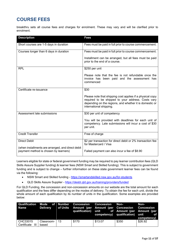# <span id="page-10-0"></span>**COURSE FEES**

breakthru sets all course fees and charges for enrolment. These may vary and will be clarified prior to enrolment.

| <b>Description</b>                                                                         | <b>Fees</b>                                                                                                                                                                                           |
|--------------------------------------------------------------------------------------------|-------------------------------------------------------------------------------------------------------------------------------------------------------------------------------------------------------|
| Short courses are 1-5 days in duration                                                     | Fees must be paid in full prior to course commencement.                                                                                                                                               |
| Courses longer than 6 days in duration                                                     | Fees must be paid in full prior to course commencement.                                                                                                                                               |
|                                                                                            | Installment can be arranged, but all fees must be paid<br>prior to the end of a course.                                                                                                               |
| <b>RPL</b>                                                                                 | \$250 per unit                                                                                                                                                                                        |
|                                                                                            | Please note that the fee is not refundable once the<br>invoice has been paid and the assessment has<br>commenced                                                                                      |
| Certificate re-issuance                                                                    | \$30                                                                                                                                                                                                  |
|                                                                                            | Please note that shipping cost applies if a physical copy<br>required to be shipped to your address. Costs vary<br>depending on the regions, and whether it is domestic or<br>international shipping. |
| Assessment late submissions                                                                | \$30 per unit of competency                                                                                                                                                                           |
|                                                                                            | You will be provided with deadlines for each unit of<br>competency. Late submissions will incur a cost of \$30<br>per unit.                                                                           |
| <b>Credit Transfer</b>                                                                     | Free of charge                                                                                                                                                                                        |
| <b>Direct Debit</b>                                                                        | \$2 per transaction for direct debit or 2% transaction fee<br>for Mastercard / Visa                                                                                                                   |
| (when installments are arranged, and direct debit<br>payment method is chosen by learners) | Failed payment can also incur a fee of \$8.90                                                                                                                                                         |

Learners eligible for state or federal government funding may be required to pay learner contribution fees (QLD Skills Assure Supplier funding) & learner fees (NSW Smart and Skilled funding). This is subject to government funding and is subject to change – further information on these state government learner fees can be found via the following:

- NSW Smart and Skilled funding <https://smartandskilled.nsw.gov.au/for-students>
- QLD Skills Assure Supplier <https://desbt.qld.gov.au/training/providers/funded>

For QLD Funding, the concession and non-concession amounts on our website are the total amount for each qualification and the fees differ depending on the modes of delivery. To obtain the fee for each unit, divide the whole amount of each qualification by its number of units in the qualification. Some examples are provided below:

| Name                         |                          | Qualification Mode of Number Concession Concession Non-<br>Delivery of Units Amount (per Amount (per Concession Concession | qualification) unit of Amount (per Amount (per | competency) qualification) unit | Non-<br>— of<br>competency) |
|------------------------------|--------------------------|----------------------------------------------------------------------------------------------------------------------------|------------------------------------------------|---------------------------------|-----------------------------|
| CHC33015<br>Certificate<br>Ш | Classroom-   13<br>based | \$170                                                                                                                      | \$13.07                                        | \$350                           | \$26.92                     |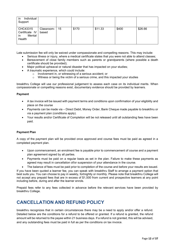| in<br>Individual<br>Support                          |                     |    |       |         |       |         |
|------------------------------------------------------|---------------------|----|-------|---------|-------|---------|
| CHC43315<br>Certificate IV<br>Mental<br>in<br>Health | Classroom-<br>based | 15 | \$170 | \$11.33 | \$400 | \$26.66 |

Late submission fee will only be waived under compassionate and compelling reasons. This may include:

- Serious illness or injury, where a medical certificate states that you were not able to attend classes;
- Bereavement of close family members such as parents or grandparents (where possible a death certificate should be provided);
- Major political upheaval or natural disaster that has impacted on your studies;
	- A traumatic experience, which could include:
		- o Involvement in, or witnessing of a serious accident; or
		- Witness or being the victim of a serious crime, and this impacted your studies

breakthru College will use our professional judgement to assess each case on its individual merits. When compassionate or compelling reasons exist, documentary evidence should be provided by learners.

### **Payment**

- A tax invoice will be issued with payment terms and conditions upon confirmation of your eligibility and place on the course
- Payments can be made via Direct Debit, Money Order, Bank Cheque made payable to breakthru or via a payment plan (conditions apply).
- Your results and/or Certificate of Completion will be not released until all outstanding fees have been paid.

### **Payment Plan**

A copy of the payment plan will be provided once approved and course fees must be paid as agreed in a completed payment plan.

- Upon commencement, an enrolment fee is payable prior to commencement of course and a payment plan agreement signed by all parties.
- Payments must be paid on a regular basis as set in the plan. Failure to make these payments as agreed may result in cancellation of/or suspension of your attendance in the course.
- The balance of fees must be paid prior to completion of the course and before your results are issued.

If you have been quoted a learner fee, you can speak with breakthru Staff to arrange a payment option that best suits you. You can choose to pay in weekly, fortnightly or monthly. Please note that breakthru College will not accept any prepaid fees that are in excess of \$1,500 from current and prospective learners at any point including before, during and after the learner enrols.

Prepaid fees refer to any fees collected in advance before the relevant services have been provided by breakthru College.

# <span id="page-11-0"></span>**CANCELLATION AND REFUND POLICY**

breakthru recognizes that in certain circumstances there may be a need to apply and/or offer a refund. Detailed below are the conditions for a refund to be offered or granted. If a refund is granted, the refund amount will be returned to the payee within 21 business days. If a refund is not granted, this will be advised, and any outstanding fees must be paid in full as per the conditions on tax invoice.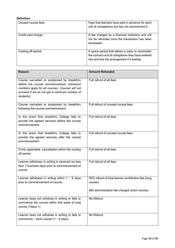### **Definition**

| Unused course fees | Fees that learners have paid in advance for each<br>unit of competency but has not commenced it.                                                      |
|--------------------|-------------------------------------------------------------------------------------------------------------------------------------------------------|
| Credit card charge | A fee charged by a financial institution and will<br>not be refunded once the transaction has been<br>processed.                                      |
| Cooling off period | A grace period that allows a party to reconsider<br>the contract and its obligations they have entered<br>into and exit the arrangement if it wishes. |

| <b>Reason</b>                                                                                                                                                                                          | <b>Amount Refunded</b>                                        |
|--------------------------------------------------------------------------------------------------------------------------------------------------------------------------------------------------------|---------------------------------------------------------------|
| Course cancelled or postponed by breakthru<br>before the course commencement (minimum<br>numbers apply for all courses. Courses will not<br>proceed if we do not get a minimum number of<br>students). | Full refund of all fees                                       |
| Course cancelled or postponed by breakthru<br>following the course commencement                                                                                                                        | Full refund of unused course fees.                            |
| In the event that breakthru College fails to<br>provide the agreed services before the course<br>commencement                                                                                          | Full refund of all fees                                       |
| In the event that breakthru College fails to<br>provide the agreed services after the course<br>commencement                                                                                           | Full refund of unused course fees                             |
| If only applicable, cancellation within the cooling<br>off period                                                                                                                                      | Full refund of all fees                                       |
| Learner withdraws in writing is received no less<br>than 7 business days prior to commencement of<br>course.                                                                                           | Full refund of all fees                                       |
| Learner withdraws in writing within $1 - 6$ days<br>prior to commencement of course.                                                                                                                   | 50% refund of total learner contribution fee (long<br>course) |
|                                                                                                                                                                                                        | \$50 administration fee charged (short course)                |
| Learner does not withdraw in writing or fails to<br>commence the course within first week of long<br>course $(7 \text{days} + )$                                                                       | No Refund                                                     |
| Learner does not withdraw in writing or fails to<br>commence – short course $(1 - 6$ days)                                                                                                             | No Refund                                                     |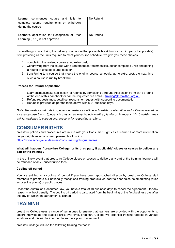| commences course and fails to<br>Learner<br>complete course requirements or withdraws<br>during the course | No Refund |
|------------------------------------------------------------------------------------------------------------|-----------|
| Learner's application for Recognition of Prior<br>Learning (RPL) is not approved.                          | No Refund |

If something occurs during the delivery of a course that prevents breakthru (or its third party if applicable) from providing all the units required to meet your course schedule, we give you these choices:

- 1. completing the revised course at no extra cost;
- 2. withdrawing from the course with a Statement of Attainment issued for completed units and getting a refund of unused course fees; or
- 3. transferring to a course that meets the original course schedule, at no extra cost, the next time such a course is run by breakthru.

### **Process for Refund Application**

- 1. Learners must make application for refunds by completing a Refund Application Form can be found at the end of this handbook or can be requested via email – training@breakthru.org.au
- 2. Refund requests must detail set reasons for request with supporting documentation
- 3. Refund is provided as per the table above within 21 business days.

*Note: Requests for refunds in special circumstances will be at breakthru's discretion and will be assessed on a case-by-case basis. Special circumstances may include medical, family or financial crisis. breakthru may ask for evidence to support your reasons for requesting a refund.*

# <span id="page-13-0"></span>**CONSUMER RIGHTS**

breakthru policies and procedures are in line with your Consumer Rights as a learner. For more information on your rights as a consumer, please click this link:

[https://www.accc.gov.au/learners/consumer-rights-guarantees](https://www.accc.gov.au/consumers/consumer-rights-guarantees)

### **What will happen if breakthru College (or its third party if applicable) closes or ceases to deliver any part of the training?**

In the unlikely event that breakthru College closes or ceases to delivery any part of the training, learners will be refunded of any unused tuition fees.

### **Cooling off period**

You are entitled to a cooling off period if you have been approached directly by breakthru College staff members to promote our nationally recognised training products via door-to-door sales, telemarketing (such as over the phone) or public places.

Under the Australian Consumer Law, you have a total of 10 business days to cancel the agreement – for any reason – without penalty. The cooling off period is calculated from the beginning of the first business day after the day on which the agreement is signed.

# <span id="page-13-1"></span>**TRAINING**

breakthru College uses a range of techniques to ensure that learners are provided with the opportunity to absorb knowledge and practice skills over time. breakthru College will organise training facilities in various locations and this will be informed to learners prior to enrolment.

breakthu College will use the following training methods: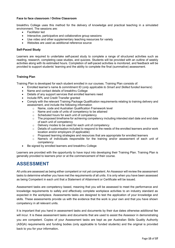### **Face to face classroom / Online Classroom**

breakthru College uses this method for the delivery of knowledge and practical teaching in a simulated environment. The sessions are:

- Facilitator led
- Interactive, participative and collaborative group sessions
- Use video and other supplementary teaching resources for variety
- Websites are used as additional reference source

### **Self-Paced Study**

Learners are required to undertake self-paced study to complete a range of structured activities such as reading, research, completing case studies, and quizzes. Students will be provided with an outline of weekly activities along with its estimated hours. Completion of self-paced activities is monitored, and feedback will be provided to support students' learning and the ability to complete the final (summative) assessment.

### **Training Plan**

Training Plan is developed for each student enrolled in our courses. Training Plan consists of:

- Enrolled learner's name & commitment ID (*only applicable to Smart and Skilled funded learners*)
- Name and contact details of breakthru College
- Details of any support services that enrolled learners need
- Include RPL and Credit Transfer granted
- Comply with the relevant Training Package Qualification requirements relating to training delivery and assessment, and include the following information
	- $\circ$  Name, code and Australian Qualification Framework level  $\circ$  Name and code of units of competency to be attained
	- Name and code of units of competency to be attained
	- o Scheduled hours for each unit of competency
	- $\circ$  The proposed timeframe for achieving competency including intended start date and end date of each unit of competency
	- o Delivery modes to be used for each unit of competency
	- o Details of customisation included to respond to the needs of the enrolled learners and/or work location and/or employers (if applicable)
	- $\circ$  Proposed learning strategies and resources that are appropriate for enrolled learners<br> $\circ$  Name/s of individuals responsible for the training and/or assessment of each
	- Name/s of individuals responsible for the training and/or assessment of each unit of competency
- Be signed by enrolled learners and breakthru College

Learners are provided with the opportunity to have input into developing their Training Plan. Training Plan is generally provided to learners prior or at the commencement of their course.

# <span id="page-14-0"></span>**ASSESSMENT**

All units are assessed as being either competent or not yet competent. An Assessor will review the assessment tasks to determine whether you have met the requirements of all units. It is only when you have been assessed as being Competent in each unit that a Statement of Attainment or Certificate will be issued.

Assessment tasks are competency based, meaning that you will be assessed to meet the performance and knowledge requirements to safely and effectively complete workplace activities to an industry standard as expected in the workplace. Assessments tasks are designed to test the application of your knowledge and skills. These assessments provide us with the evidence that the work is your own and that you have shown competency in all relevant units.

It is important that you hand in assessment tasks and documents by their due dates otherwise additional fee will incur. It is these assessment tasks and documents that are used to assist the Assessor in demonstrating you are competent. Copies of your Assessment tasks are kept as per Australian Skills Quality Authority (ASQA) requirements and funding bodies (only applicable to funded students) and the original is provided back to you for your information**.**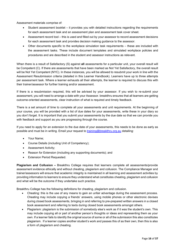Assessment materials comprise of:

- Student assessment booklet it provides you with detailed instructions regarding the requirements for each assessment task and an assessment plan and assessment task cover sheet.
- Assessment record tool this is used and filled out by your assessor to record assessment decisions for each assessment task and provides decision making guidance to the assessor.
- Other documents specific to the workplace simulation task requirements these are included with the assessment tasks. These include document templates and simulated workplace policies and procedures and are described in the student and assessor instructions as relevant.

When there is a result of Satisfactory (S) against **all** assessments for a particular unit, your overall result will be Competent (C). If there are assessments that have been marked as Not Yet Satisfactory, the overall result will be Not Yet Competent (NYC). In these instances, you will be allowed to resubmit your work in line with the Assessment Resubmission criteria (detailed in this Learner Handbook). Learners have up to three attempts per assessment task. Where a learner exhausts all their attempts, the learner is required to discuss this with their trainer/assessor for further training and/or assessment.

If there is a resubmission required, this will be advised by your assessor. If you wish to re-submit your assessment, you will need to arrange a date with your Assessor. breakthru ensures that all learners are getting outcome-oriented assessments, clear instruction of what is required and timely feedback.

There is a set amount of time to complete all your assessments and unit requirements. At the beginning of your course, you will be provided with a list of due dates for your assessments, write these in your diary so you don't forget. It is important that you submit your assessments by the due date so that we can provide you with feedback and support as you are progressing through the course.

If you need to apply for an extension to the due date of your assessments, this needs to be done as early as possible and must be in writing. Email your request to [training@breakthru.org.au](mailto:training@breakthru.org.au) [d](mailto:training@breakthru.org.au)etailing:

- Your Name;
- Course Details (including Unit of Competency);
- Assessment Activity;
- Reason for Extension (including any supporting documents); and
- Extension Period Requested.

**Plagiarism and Collusion –** Breakthru College requires that learners complete all assessments/provide assessment evidence ethically and without cheating, plagiarism and collusion. The Compliance Manager and trainer/assessors will ensure that academic integrity is maintained in all learning and assessment activities by providing information to learners to ensure they understand what constitutes cheating, plagiarism and collusion and what will be the outcome if they undertake such practice.

Breakthru College has the following definitions for cheating, plagiarism and collusion.

- Cheating: this is the use of any means to gain an unfair advantage during the assessment process. Cheating may include copying a friends' answers, using mobile phones or other electronic devises during closed book assessments, bringing in and referring to pre-prepared written answers in a closed book assessment and referring to texts during closed book assessments amongst others.
- Plagiarism: plagiarism is the submission of somebody else's work as if it was the student's own. This may include copying all or part of another person's thoughts or ideas and representing them as your own. If a learner fails to identify the original source of some or all of the submission this also constitutes plagiarism. If a learner copies another student's work and passes this of as their own, then this is also a form of plagiarism and cheating.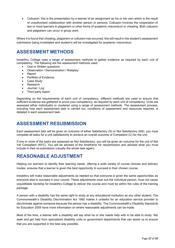• Collusion: this is the presentation by a learner of an assignment as his or her own which is the result of unauthorised collaboration with another person or persons. Collusion involves the cooperation of two or more learners in plagiarism or other forms of academic misconduct or cheating. Both collusion and plagiarism can occur in group work.

Where it is found that cheating, plagiarism or collusion has occurred, this will result in the student's assessment submission being invalidated and student's will be investigated for academic misconduct.

# <span id="page-16-0"></span>**ASSESSMENT METHODS**

breakthru College uses a range of assessment methods to gather evidence as required by each unit of competency. The following are the assessment methods used:

- Oral or Written questions
- Observation / Demonstration / Roleplay
- Report
- Portfolio of Evidence
- Case Study
- Research
- Journal / Log
- Third party report

Depending on the requirements of each unit of competency, different methods are used to ensure that sufficient evidence are gathered to prove your competency, as required by each unit of competency. Units are assessed either individually or clustered using a range of assessment methods. The assessment process, including how each assessment task is carried out, conditions of assessment and resources required, is detailed in each assessment task.

# <span id="page-16-1"></span>**ASSESSMENT RESUBMISSION**

Each assessment task will be given an outcome of either Satisfactory (S) or Not Satisfactory (NS). you must complete all tasks for a unit satisfactorily to achieve an overall outcome of Competent (C) for the unit.

If one or more of the tasks are assessed as Not Satisfactory, you will be given an outcome for the unit of Not Yet Competent (NYC). You will be advised of the timeframe for resubmission and advised what you must include in their re-submission (usually the whole task again).

# <span id="page-16-2"></span>**REASONABLE ADJUSTMENT**

Helping our learners to identify their learning needs, offering a wide variety of course choices and delivery modes, ensures that a learner is given the best opportunity to succeed in their chosen course.

breakthru will make reasonable adjustments as needed so that everyone is given the same opportunities as everyone else to succeed in your course. These adjustments must suit the individual person, must not cause unjustifiable hardship for breakthru College to deliver the course and must be within the rules of the training package.

A person with a disability has the same right to study at any educational institution as any other student. The Commonwealth's Disability Discrimination Act 1992 makes it unlawful for an education service provider to discriminate against someone because the person has a disability. The Commonwealth's Disability Standards for Education 2005 have more information on where reasonable adjustments can be made.

Most of the time, a learner with a disability will say what he or she needs help with to be able to study. We seek and get help from specialized disability units or government departments that can assist us to ensure that you are supported in the best way possible.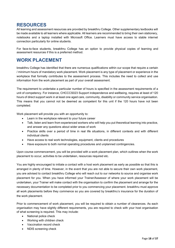# <span id="page-17-0"></span>**RESOURCES**

All learning and assessment resources are provided by breakthru College. Other supplementary textbooks will be made available to all learners where applicable. All learners are recommended to bring their own stationery, notebooks and a laptop installed with Microsoft Office. Learners must have access to stable internet connection particularly for online students.

For face-to-face students, breakthru College has an option to provide physical copies of learning and assessment resources if this is a preferred method.

# <span id="page-17-1"></span>**WORK PLACEMENT**

breakthru College has identified that there are numerous qualifications within our scope that require a certain / minimum hours of mandatory work placement. Work placement is any type of placement or experience in the workplace that formally contributes to the assessment process. This includes the need to collect and use information from the work placement as part of your overall assessment.

The requirement to undertake a particular number of hours is specified in the assessment requirements of a unit of competency. For instance, CHCCCS023 Support independence and wellbeing, requires at least of 120 hours of direct support work in at least one aged care, community, disability or community service organisation. This means that you cannot not be deemed as competent for this unit if the 120 hours have not been completed.

Work placement will provide you with an opportunity to:

- Learn in the workplace relevant to your future career
- Talk, listen and learn from experienced workers who will help you put theoretical learning into practice, and answer any questions about wider areas of work
- Practice skills over a period of time in real life situations, in different contexts and with different individual clients
- Have access to real work technologies, equipment, clients and procedures
- Have exposure to both normal operating procedures and unplanned contingencies.

Upon course commencement, you will be provided with a work placement plan, which outlines when the work placement to occur, activities to be undertaken, resources required etc.

You are highly encouraged to initiate a contact with a host work placement as early as possible so that this is arranged in plenty of time. However, in the event that you are not able to secure their own work placement, you are advised to contact breakthru College who will reach out to our networks to source and organise work placement for you. When you have informed your Trainer/Assessor of where your work placement will be undertaken, your Trainer will make contact with the organisation to confirm the placement and arrange for the necessary documentation to be completed prior to you commencing your placement. breakthru must approve all work placements before they commence so you are covered by breakthru's insurance for the duration of the work placement.

Prior to commencement of work placement, you will be required to obtain a number of clearances. As each organisation may have slightly different requirements, you are required to check with your host organisation of what screening is required. This may include:

- National police check
- Working with children check
- Vaccination record check
- NDIS screening check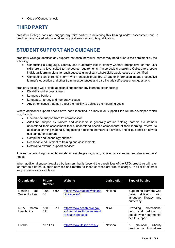• Code of Conduct check

# <span id="page-18-0"></span>**THIRD PARTY**

breakthru College does not engage any third parties in delivering this training and/or assessment and in providing any related educational and support services for this qualification.

# <span id="page-18-1"></span>**STUDENT SUPPORT AND GUIDANCE**

breakthru College identifies any support that each individual learner may need prior to the enrolment by the following:

- Conducting a Language, Literacy and Numeracy test to identify whether prospective learner' LLN skills are at a level suited to the course requirements. It also assists breakthru College to prepare individual learning plans for each successful applicant where skills weaknesses are identified.
- Completing an enrolment form which enables breakthru to gather information about prospective learner's education and other training experiences and also include self-assessment questions.

breakthru college will provide additional support for any learners experiencing:

- Disability and access issues
- Language barriers
- Language, literacy and numeracy issues
- Any other issues that may affect their ability to achieve their learning goals

Where additional support needs have been identified, an Individual Support Plan will be developed which may include:

- One-on-one support from trainer/assessor
- Additional support by trainers and assessors is generally around helping learners / customers understand their assessment tasks, understand specific components of their learning, referral to additional learning materials, suggesting additional homework activities, and/or guidance on how to use computer program.
- Computer and technology support
- Reasonable adjustment to training and assessments
- Referral to external support services

This support may be provided face-to-face, over the phone, Zoom, or via email as deemed suitable to learners' needs.

When additional support required by learners that is beyond the capabilities of the RTO, breakthru will refer learners to external support services and referral to these services are free of charge. The list of external support services is as follows:

| Organisation                               | <b>Phone</b><br><b>Number</b> | <b>Website</b>                                                                   | <b>Jurisdiction</b> | <b>Type of Service</b>                                                                                 |
|--------------------------------------------|-------------------------------|----------------------------------------------------------------------------------|---------------------|--------------------------------------------------------------------------------------------------------|
| Reading<br>and<br><b>Writing Hotline</b>   | 1300<br>6555<br>06            | https://www.readingwritingho<br>tline.edu.au/                                    | National            | Supporting learners who<br>difficulty<br>with<br>have<br>literacy<br>and<br>language,<br>numeracy.     |
| <b>NSW</b><br>Mental<br><b>Health Line</b> | 011<br>1800<br>511            | https://www.health.nsw.gov.<br>au/mentalhealth/pages/ment<br>al-health-line.aspx | <b>NSW</b>          | Providing<br>professional<br>advice<br>help<br>and<br>to:<br>people who need mental<br>health support. |
| Lifeline                                   | 13 11 14                      | https://www.lifeline.org.au/                                                     | National            | A<br>National<br>Charity<br>providing all Australians                                                  |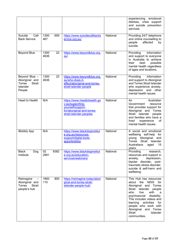|                                                                                         |                    |                                                                                                                               |          | experiencing<br>emotional<br>distress, crisis support<br>and suicide prevention<br>services.                                                                                                                                                                                                                                |
|-----------------------------------------------------------------------------------------|--------------------|-------------------------------------------------------------------------------------------------------------------------------|----------|-----------------------------------------------------------------------------------------------------------------------------------------------------------------------------------------------------------------------------------------------------------------------------------------------------------------------------|
| Suicide<br>Call<br><b>Back Service</b>                                                  | 1300<br>659<br>467 | https://www.suicidecallbacks<br>ervice.org.au/                                                                                | National | Providing 24/7 telephone<br>and online counselling to<br>affected<br>people<br>by<br>suicide.                                                                                                                                                                                                                               |
| <b>Beyond Blue</b>                                                                      | 1300<br>22<br>4636 | https://www.beyondblue.org.<br>au/                                                                                            | National | information<br>Providing<br>and support to everyone<br>in Australia to achieve<br>their<br>best<br>possible<br>mental health regardless<br>of ages and locations.                                                                                                                                                           |
| Beyond Blue -<br>Aboriginal and<br><b>Strait</b><br><b>Torres</b><br>Islander<br>People | 1300<br>22<br>4636 | https://www.beyondblue.org.<br>au/who-does-it-<br>affect/aboriginal-and-torres-<br>strait-islander-people                     | National | Providing<br>information<br>and support to Aboriginal<br>and Torres Strait Islander<br>who experience anxiety,<br>depression and other<br>mental health issues.                                                                                                                                                             |
| Head to Health                                                                          | N/A                | https://www.headtohealth.go<br>v.au/supporting-<br>yourself/support-<br>for/aboriginal-and-torres-<br>strait-islander-peoples | National | Australian<br>An<br>Government<br>resource<br>that provides support for<br>Aboriginal and Torres<br>Strait Islander<br>people<br>and families who have a<br>lived<br>experience<br>οf<br>mental health issues.                                                                                                              |
| iBobbly App                                                                             | N/A                | https://www.blackdoginstitut<br>e.org.au/resources-<br>support/digital-tools-<br>apps/ibobbly/                                | National | A social and emotional<br>wellbeing self-help for<br>young Aboriginal<br>and<br>Torres<br>Strait<br>Islander<br>Australians<br>15<br>aged<br>years.                                                                                                                                                                         |
| Dog<br>Black<br>Institute                                                               | 9382<br>02<br>2991 | https://www.blackdoginstitut<br>e.org.au/education-<br>services/webinars/                                                     | National | Providing<br>research,<br>resources and support in<br>anxiety,<br>depression,<br>bipolar disorder, post-<br>traumatic stress disorder,<br>suicide & self-harm and<br>wellbeing.                                                                                                                                             |
| Reimagine<br>Aboriginal and<br><b>Strait</b><br>Torres<br>people's hub                  | 1800<br>800<br>110 | https://reimagine.today/abori<br>ginal-and-torres-strait-<br>islander-people-hub/                                             | National | This Hub has resources<br>NDIS for<br>the<br>about<br>Aboriginal and Torres<br>Strait Islander people<br>who<br>live<br>with<br>a<br>psychosocial<br>disability.<br>This includes videos and<br>learning<br>activities<br>for<br>people who work with<br>Aboriginal and Torres<br><b>Strait</b><br>Islander<br>communities. |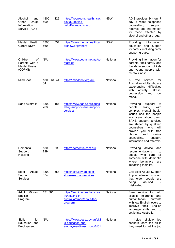| Alcohol<br>and<br>Other<br>Drugs<br>Information<br>Service (ADIS)    | 422<br>1800<br>599 | https://yourroom.health.nsw.<br>gov.au/getting-<br>help/Pages/adis.aspx                  | <b>NSW</b> | ADIS provides 24-hour 7<br>day a week telephone<br>counselling,<br>support,<br>referrals and information<br>for those affected by<br>alcohol and other drugs.                                                                                                                                                                    |
|----------------------------------------------------------------------|--------------------|------------------------------------------------------------------------------------------|------------|----------------------------------------------------------------------------------------------------------------------------------------------------------------------------------------------------------------------------------------------------------------------------------------------------------------------------------|
| Mental Health<br><b>Carers NSW</b>                                   | 1300<br>554<br>660 | https://www.mentalhealthcar<br>ersnsw.org/mhcn/                                          | <b>NSW</b> | Providing<br>information,<br>education and support<br>for carers, including carer<br>support groups.                                                                                                                                                                                                                             |
| Children<br>of<br>Parents with a<br><b>Mental Illness</b><br>(COPMI) | N/A                | https://www.copmi.net.au/co<br>ntact-us                                                  | National   | Providing information for<br>parents, their family and<br>friends in support of kids<br>and young people with<br>mental illness.                                                                                                                                                                                                 |
| MindSpot                                                             | 1800 61 44<br>34   | https://mindspot.org.au/                                                                 | National   | free<br>service<br>for<br>A<br>Australian adults who are<br>experiencing difficulties<br>with<br>anxiety,<br>stress,<br>depression<br>and<br>low<br>mood.                                                                                                                                                                        |
| Sane Australia                                                       | 1800<br>187<br>263 | https://www.sane.org/couns<br>elling-support/sane-support-<br>services                   | National   | Providing<br>support<br>to<br>people<br>living<br>with<br>complex mental health<br>issues and the people<br>who care about them.<br>SANE support services<br>are staffed by qualified<br>counsellors<br>who<br>will<br>provide you with free<br>phone<br>online<br>and<br>counselling,<br>support,<br>information and referrals. |
| Dementia<br>Support<br>Helpline                                      | 1800<br>699<br>799 | https://dementia.com.au/                                                                 | National   | Providing advice and<br>recommendations<br>to<br>people who care<br>for<br>someone with dementia<br>behaviors<br>where<br>are<br>impacting their life.                                                                                                                                                                           |
| Elder<br>Abuse<br>Support<br>Services                                | 1800<br>353<br>374 | https://aifs.gov.au/elder-<br>abuse-support-services                                     | National   | Call Elder Abuse Support<br>if you witness, suspect<br>that older people are<br>being<br>abused<br>$\sqrt{ }$<br>mistreated.                                                                                                                                                                                                     |
| Adult<br>Migrant<br>English<br>Program                               | 131 881            | https://immi.homeaffairs.gov.<br>au/settling-in-<br>australia/amep/about-the-<br>program | National   | Free service<br>to<br>help<br>eligible<br>migrants<br>and<br>humanitarian<br>entrants<br>with low English levels to<br>improve their English<br>language skills and to<br>settle into Australia.                                                                                                                                 |
| <b>Skills</b><br>for<br>Education and<br>Employment                  | N/A                | https://www.dese.gov.au/skil<br>Is-education-and-<br>employment?msclkid=c0d01            | National   | helps eligible<br>It<br>job<br>seekers learn the skills<br>they need to get the job                                                                                                                                                                                                                                              |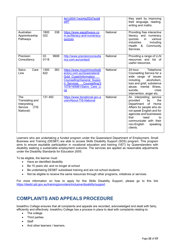|                                                                         |                    | 4e1c50411ecb4e2f2d7ecb8<br>e8f7                                                                                                                                                                 |          | they want by improving<br>their language, reading,<br>writing and maths.                                                                                                                                                                                 |
|-------------------------------------------------------------------------|--------------------|-------------------------------------------------------------------------------------------------------------------------------------------------------------------------------------------------|----------|----------------------------------------------------------------------------------------------------------------------------------------------------------------------------------------------------------------------------------------------------------|
| Australian<br>Apprenticeship<br>Pathways                                | 1800<br>338<br>022 | https://www.aapathways.co<br>m.au/literacy-and-numeracy-<br>quizzes                                                                                                                             | National | Providing free interactive<br>literacy and<br>numeracy<br>various<br>quizzes<br>in<br>industries<br>including<br>Health &<br>Community<br>Services.                                                                                                      |
| Precision<br>Consultancy                                                | 9606<br>03<br>0118 | http://www.precisionconsulta<br>ncy.com.au/contact/                                                                                                                                             | National | Providing a range of LLN<br>resources and list of<br>useful resources.                                                                                                                                                                                   |
| Salvo<br>Care<br>Line                                                   | 1300<br>363<br>622 | https://www.mycommunitydir<br>ectory.com.au/Queensland/<br><b>Gold Coast/Information</b><br><b>Counselling/General Suppo</b><br>Counselling/3<br>rt Services<br>1078/165981/Salvo Care Li<br>ne | National | 24-hour<br>Telephone<br>Counselling Service for a<br>wide range of issues<br>including<br>alcoholism,<br>loss and grief, substance<br>abuse, mental illness,<br>suicide,<br>crisis<br>intervention, anger etc.                                           |
| The<br>Translating and<br>Interpreting<br>Service<br>(TIS)<br>National) | 131 450            | https://www.tisnational.gov.a<br>u/en/About-TIS-National                                                                                                                                        | National | An interpreting service<br>provided<br>by<br>the<br>Department<br>of<br>Home<br>Affairs for people who do<br>not speak English and for<br>agencies and businesses<br>that<br>need<br>to<br>communicate with their<br>non-English<br>speaking<br>clients. |

Learners who are undertaking a funded program under the Queensland Department of Employment, Small Business and Training (DESBT) are able to access Skills Disability Support (SDS) program. This program aims to ensure equitable participation in vocational education and training (VET) by Queenslanders with disability seeking a sustainable employment outcome. The services are applied as reasonable adjustments under the Disability Standards for Education 2005.

To be eligible, the learner must:

- Have an identified disability
- Be 15 years old, and no longer at school
- Be undertaking DESBT subsidised training and are not school students
- Not be eligible to receive the same resources through other programs, initiatives or services.

For more information on how to apply for this Skills Disability Support, please go to this link <https://desbt.qld.gov.au/training/providers/inclusive/disability/support>

# <span id="page-21-0"></span>**COMPLAINTS AND APPEALS PROCEDURE**

breakthru College ensures that all complaints and appeals are recorded, acknowledged and dealt with fairly, efficiently and effectively. breakthru College has a process in place to deal with complaints relating to:

- The college
- Third parties
- **Staff**
- And other learners / learners.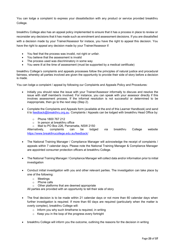You can lodge a complaint to express your dissatisfaction with any product or service provided breakthru College.

breakthru College also has an appeal policy implemented to ensure that it has a process in place to review or reconsider any decisions that it has made such as enrolment and assessment decisions. If you are dissatisfied with a decision made by your Trainer/Assessor for instace, you have the right to appeal this decision. You have the right to appeal any decision made by your Trainer/Assessor if:

- You feel that the process was invalid, not right or unfair.
- You believe that the assessment is invalid
- The process used was discriminatory in some way
- You were ill at the time of assessment (must be supported by a medical certificate)

breakthru College's complaints and appeals processes follow the principles of natural justice and procedural fairness, whereby all parties involved are given the opportunity to provide their side of story before a decision is made.

You can lodge a complaint / appeal by following our Complaints and Appeals Policy and Procedures:

- Initially you should raise the issue with your Trainer/Assessor informally to discuss and resolve the issue with staff member/s involved. For instance, you can speak with your assessor directly if this involves assessment process. If the informal resolution is not successful or determined to be inappropriate, then go to the next step (Step 2).
- Complete the Complaints and Appeals form (available at the end of this Learner Handbook) and send it to [feedback@breakthru.org.au.](mailto:feedback@breakthru.org.au) Complaints / Appeals can be lodged with breakthru Head Office by:
	- o Phone 1800 767 212
	- o In person at breakthru office
	-

o Mail to PO Box 226, Parramatta, NSW 2150<br>Alternatively, complaints can be lodged complaints can be lodged via breakthru College website <https://www.breakthrucollege.edu.au/feedback/>

- The National Training Manager / Compliance Manager will acknowledge the receipt of complaints / appeals within 7 calendar days. Please note the National Training Manager & Compliance Manager are appointed consumer protection officers at breakthru College.
- The National Training Manager / Compliance Manager will collect data and/or information prior to initial investigation
- Conduct initial investigation with you and other relevant parties. The investigation can take place by one of the following:
	- o Meetings
	- o Phone calls<br>○ Other platfor
	- Other platforms that are deemed appropriate

All parties are provided with an opportunity to tell their side of story

- The final decision is to be made within 21 calendar days or not more than 60 calendar days when further investigation is required. If more than 60 days are required (particularly when the matter is overly complex), breakthru College will:
	- $\circ$  Inform you why such timeframe is required, in writing
	- o Keep you in the loop of the progress every fortnight
- breakthru College will inform you the outcome, outlining the reasons for the decision in writing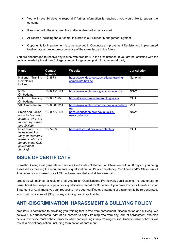- You will have 14 days to respond if further information is required / you would like to appeal the outcome
- If satisfied with the outcome, the matter is deemed to be resolved
- All records including the outcome, is stored in our Student Management System
- Opportunity for improvement is to be recorded in Continuous Improvement Register and implemented to eliminate or prevent re-occurrence of the same issue in the future.

You are encouraged to resolve any issues with breakthru in the first instance. If you are not satisfied with the decision made by breakthru College, you can lodge a complaint to an external party:

| <b>Name</b>                                                                                                                        | <b>Contact</b><br><b>Number</b> | Website                                                          | <b>Jurisdiction</b> |
|------------------------------------------------------------------------------------------------------------------------------------|---------------------------------|------------------------------------------------------------------|---------------------|
| National Training<br>Complaints<br>Hotline                                                                                         | 13 3 8 7 3                      | https://www.dese.gov.au/national-training-<br>complaints-hotline | National            |
| <b>NSW</b><br>Ombudsman                                                                                                            | 1800 451 524                    | https://www.ombo.nsw.gov.au/contact-us                           | <b>NSW</b>          |
| Training<br>QLD<br>Ombudsman                                                                                                       | 1800 773 048                    | https://trainingombudsman.qld.gov.au/                            | <b>QLD</b>          |
| VIC Ombudsman                                                                                                                      | 1800 806 314                    | https://www.ombudsman.vic.gov.au/contact-<br>us/                 | <b>VIC</b>          |
| <b>Smart and Skilled</b><br>(only for learners /<br>learners who are<br>funded by Smart<br>and Skilled)                            | 1300 772 104                    | https://education.nsw.gov.au/skills-<br>nsw/contact-us           | <b>NSW</b>          |
| Queensland VET<br><b>Investment Plan</b><br>(only for learners /<br>learners who are<br>funded under QLD<br>government<br>funding) | 137468                          | https://desbt.qld.gov.au/contact-us                              | QLD                 |

# <span id="page-23-0"></span>**ISSUE OF CERTIFICATE**

Breakthru College will generate and issue a Certificate / Statement of Attainment within 30 days of you being assessed as meeting the requirements of qualification / unit/s of competency. Certificate and/or Statement of Attainment is only issued once USI has been provided and all fees are paid.

breakthru will maintain a register of all Australian Qualifications Framework qualifications it is authorised to issue. breakthru keeps a copy of your qualification record for 30 years. If you have lost your Qualification or Statement of Attainment, you can request to have your certificate / statement of attainment to be re-generated, which will incur a fee of \$30 plus any shipping cost if applicable.

# <span id="page-23-1"></span>**ANTI-DISCRIMINATION, HARASSMENT & BULLYING POLICY**

breakthru is committed to providing you training that is free from harassment, discrimination and bullying. We believe it is a fundamental right of all learners to enjoy training free from any form of harassment. We also believe everyone must behave properly while participating in any training course. Unacceptable behavior will result in disciplinary action, including termination of enrolment.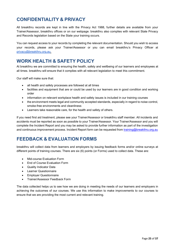# <span id="page-24-0"></span>**CONFIDENTIALITY & PRIVACY**

All breakthru records are kept in line with the Privacy Act 1988, further details are available from your Trainer/Assessor, breakthru offices or on our webpage. breakthru also complies with relevant State Privacy and Records legislation based on the State your training occurs.

You can request access to your records by completing the relevant documentation. Should you wish to access your records, please ask your Trainer/Assessor or you can email breakthru's Privacy Officer at [privacy@breakthru.org.au.](mailto:privacy@breakthru.org.au)

# **WORK HEALTH & SAFETY POLICY**

At breakthru we are committed to ensuring the health, safety and wellbeing of our learners and employees at all times. breakthru will ensure that it complies with all relevant legislation to meet this commitment.

Our staff will make sure that:

- all health and safety processes are followed at all times
- facilities and equipment that are or could be used by our learners are in good condition and working order
- information on relevant workplace health and safety issues is included in our training courses
- the environment meets legal and community accepted standards, especially in regard to noise control, smoke-free environments and cleanliness
- Learners take reasonable care, for the health and safety of others.

If you need first aid treatment, please see your Trainer/Assessor or breakthru staff member. All incidents and accidents must be reported as soon as possible to your Trainer/Assessor. Your Trainer/Assessor and you will complete the Incident Report and you may be asked to provide further information as part of the investigation and continuous improvement process. Incident Report form can be requested from [training@breakthru.org.au](mailto:training@breakthru.org.au)

# <span id="page-24-1"></span>**FEEDBACK & EVALUATION FORMS**

breakthru will collect data from learners and employers by issuing feedback forms and/or online surveys at different points of training courses. There are six (6) points (or Forms) used to collect data. These are:

- Mid-course Evaluation Form
- End of Course Evaluation Form
- Quality Indicator Data
- Learner Questionnaire
- Employer Questionnaire
- Trainer/Assessor Feedback Form

The data collected helps us to see how we are doing in meeting the needs of our learners and employers in achieving the outcomes of our courses. We use this information to make improvements to our courses to ensure that we are providing the most current and relevant training.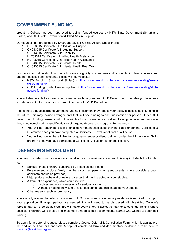# <span id="page-25-0"></span>**GOVERNMENT FUNDING**

breakthru College has been approved to deliver funded courses by NSW State Government (Smart and Skilled) and QLD State Government (Skilled Assure Supplier).

Our courses that are funded by Smart and Skilled & Skills Assure Supplier are:

- 1. CHC33015 Certificate III in Individual Support
- 2. CHC43015 Certificate IV in Ageing Support
- 3. CHC43115 Certificate IV in Disability
- 4. HLT33015 Certificate III in Allied Health Assistance
- 5. HLT43015 Certificate IV in Allied Health Assistance
- 6. CHC43315 Certificate IV in Mental Health
- 7. CHC43515 Certificate IV in Mental Health Peer Work

For more information about our funded courses, eligibility, student fees and/or contribution fees, concessional and non-concessional amounts, please visit our website:

- NSW Funding (Smart and Skilled) < [https://www.breakthrucollege.edu.au/fees-and-funding/smart](https://www.breakthrucollege.edu.au/fees-and-funding/smart-skilled-funding/)[skilled-funding/>](https://www.breakthrucollege.edu.au/fees-and-funding/smart-skilled-funding/)
- QLD Funding (Skills Assure Supplier) < [https://www.breakthrucollege.edu.au/fees-and-funding/skills](https://www.breakthrucollege.edu.au/fees-and-funding/skills-assure-funding/)[assure-funding/>](https://www.breakthrucollege.edu.au/fees-and-funding/skills-assure-funding/)

You will also be able to access a fact sheet for each program from QLD Government to enable you to access to independent information and a point of contact with QLD Department.

Please note that accessing government funding entitlement may reduce your ability to access such funding in the future. This may include arrangements that limit one funding to one qualification per person. Under QLD government funding, learners will not be eligible for a government-subsidised training under a program once they have completed the qualification level targeted through the program. For instance:

- You will no longer be eligible for a government-subsidised training place under the Certificate 3 Guarantee once you have completed a Certificate III level vocational qualification.
- You will no longer be eligible for a government-subsidised training under the Higher-Level Skills program once you have completed a Certificate IV level or higher qualification.

# <span id="page-25-1"></span>**DEFERRING ENROLMENT**

You may only defer your course under compelling or compassionate reasons. This may include, but not limited to:

- Serious illness or injury, supported by a medical certificate;
- Bereavement of close family members such as parents or grandparents (where possible a death certificate should be provided);
- Major political upheaval or natural disaster that has impacted on your studies;
- A traumatic experience, which could include:
	- o Involvement in, or witnessing of a serious accident; or
	- o Witness or being the victim of a serious crime, and this impacted your studies
- Other reasons such as pregnancy

You are only allowed to defer your course up to 3 months and documentary evidence is required to support your application. If longer periods are needed, this will need to be discussed with breakthru College's representative. To be clear, breakthru will make every effort to assist the learner to continue training where possible. breakthru will develop and implement strategies that accommodate learner who wishes to defer their training.

To apply for a deferral request, please complete Course Deferral & Cancellation Form, which is available at the end of the Learner Handbook. A copy of completed form and documentary evidence is to be sent to [training@breakthru.org.au.](mailto:training@breakthru.org.au)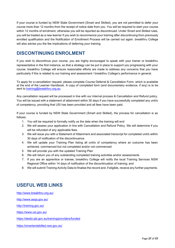If your course is funded by NSW State Government (Smart and Skilled), you are not permitted to defer your course more than 12 months from the receipt of notice date from you. You will be required to start your course within 12 months of enrolment, otherwise you will be reported as discontinued. Under Smart and Skilled rules, you will be treated as a new learner if you wish to recommence your training after discontinuing from previously enrolled qualification and the Notification of Enrollment Process will be carried out again. breakthru College will also advise you the fee implications of deferring your training.

# <span id="page-26-0"></span>**DISCONTINUING ENROLMENT**

If you wish to discontinue your course, you are highly encouraged to speak with your trainer or breakthru representative in the first instance, so that a strategy can be put in place to support you progressing with your course. breakthru College will ensure reasonable efforts are made to address any concerns that you have particularly if this is related to our training and assessment / breakthru College's performance in general.

To apply for a cancellation request, please complete Course Deferral & Cancellation Form, which is available at the end of the Learner Handbook. A copy of completed form (and documentary evidence, if any) is to be sent to [training@breakthru.org.au.](mailto:training@breakthru.org.au)

Any cancellation request will be processed in line with our internal process & Cancellation and Refund policy. You will be issued with a statement of attainment within 30 days if you have successfully completed any unit/s of competency, providing that USI has been provided and all fees have been paid.

If your course is funded by NSW State Government (Smart and Skilled), the process for cancellation is as follows:

- 1. You will be required to formally notify us the date when the training will end
- 2. We will assess your application in line with Cancellation and Refund Policy. We will determine if you will be refunded of any applicable fees.
- 3. We will issue you with a Statement of Attainment and associated transcript for completed unit/s within 30 days of notification of the discontinuance.
- 4. We will update your Training Plan listing all unit/s of competency where an outcome has been achieved, commenced but not completed and/or not commenced
- 5. We will provide you with the updated Training Plan
- 6. We will return you of any outstanding completed training activities and/or assessments
- 7. If you are an apprentice or trainee, breakthru College will notify the local Training Services NSW Regional Office within 14 days of notification of the discontinuation of training; and
- 8. We will submit Training Activity Data to finalise the record and, if eligible, receive any further payments.

# <span id="page-26-1"></span>**USEFUL WEB LINKS**

<http://www.breakthru.org.au/> <http://www.asqa.gov.au/> <http://training.gov.au/> <https://www.usi.gov.au/> <https://desbt.qld.gov.au/training/providers/funded>

<https://smartandskilled.nsw.gov.au/>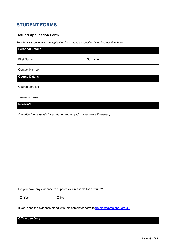# <span id="page-27-0"></span>**STUDENT FORMS**

# **Refund Application Form**

*This form is used to make an application for a refund as specified in the Learner Handbook.* 

| <b>Personal Details</b>                                         |                                                                                       |         |  |
|-----------------------------------------------------------------|---------------------------------------------------------------------------------------|---------|--|
| First Name:                                                     |                                                                                       | Surname |  |
| <b>Contact Number</b>                                           |                                                                                       |         |  |
| <b>Course Details</b>                                           |                                                                                       |         |  |
| Course enrolled                                                 |                                                                                       |         |  |
| Trainer's Name                                                  |                                                                                       |         |  |
| Reason/s                                                        |                                                                                       |         |  |
|                                                                 | Describe the reason/s for a refund request (add more space if needed)                 |         |  |
|                                                                 |                                                                                       |         |  |
|                                                                 |                                                                                       |         |  |
|                                                                 |                                                                                       |         |  |
|                                                                 |                                                                                       |         |  |
|                                                                 |                                                                                       |         |  |
|                                                                 |                                                                                       |         |  |
|                                                                 |                                                                                       |         |  |
|                                                                 |                                                                                       |         |  |
|                                                                 |                                                                                       |         |  |
|                                                                 |                                                                                       |         |  |
| Do you have any evidence to support your reason/s for a refund? |                                                                                       |         |  |
| $\square$ Yes                                                   | $\Box$ No                                                                             |         |  |
|                                                                 | If yes, send the evidence along with this completed form to training@breakthru.org.au |         |  |
| <b>Office Use Only</b>                                          |                                                                                       |         |  |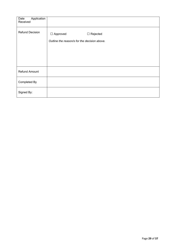| Application<br>Date<br>Received |                                                                                    |
|---------------------------------|------------------------------------------------------------------------------------|
| <b>Refund Decision</b>          | $\Box$ Approved<br>$\Box$ Rejected<br>Outline the reason/s for the decision above. |
| <b>Refund Amount</b>            |                                                                                    |
| Completed By                    |                                                                                    |
| Signed By:                      |                                                                                    |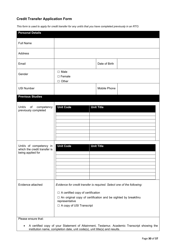## **Credit Transfer Application Form**

*This form is used to apply for credit transfer for any unit/s that you have completed previously in an RTO.* 

| <b>Personal Details</b>                                                      |                                                                                                                                                                                                                                       |                   |
|------------------------------------------------------------------------------|---------------------------------------------------------------------------------------------------------------------------------------------------------------------------------------------------------------------------------------|-------------------|
| <b>Full Name</b>                                                             |                                                                                                                                                                                                                                       |                   |
| Address                                                                      |                                                                                                                                                                                                                                       |                   |
| Email                                                                        |                                                                                                                                                                                                                                       | Date of Birth     |
| Gender                                                                       | $\square$ Male<br>$\Box$ Female<br>$\Box$ Other                                                                                                                                                                                       |                   |
| <b>USI Number</b>                                                            |                                                                                                                                                                                                                                       | Mobile Phone      |
| <b>Previous Studies</b>                                                      |                                                                                                                                                                                                                                       |                   |
| Unit/s of<br>competency<br>previously completed                              | <b>Unit Code</b>                                                                                                                                                                                                                      | <b>Unit Title</b> |
| Unit/s of competency in<br>which the credit transfer is<br>being applied for | <b>Unit Code</b>                                                                                                                                                                                                                      | <b>Unit Title</b> |
| Evidence attached<br>Please ensure that:                                     | Evidence for credit transfer is required. Select one of the following:<br>$\Box$ A certified copy of certification<br>□ An original copy of certification and be sighted by breakthru<br>representative<br>□ A copy of USI Transcript |                   |

• A certified copy of your Statement of Attainment, Testamur, Academic Transcript showing the institution name, completion date, unit code(s), unit title(s) and results.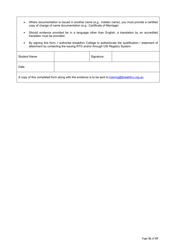- Where documentation is issued in another name (e.g.: maiden name), you must provide a certified copy of change of name documentation (e.g.: Certificate of Marriage)
- Should evidence provided be in a language other than English, a translation by an accredited translator must be provided.
- By signing this form, I authorise breakthru College to authenticate the qualification / statement of attainment by contacting the issuing RTO and/or through USI Registry System.

| <b>Student Name</b>                                                                              |  | Signature |  |
|--------------------------------------------------------------------------------------------------|--|-----------|--|
| Date                                                                                             |  |           |  |
| A copy of this completed form along with the evidence is to be sent to training@breakthru.org.au |  |           |  |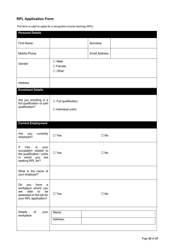# **RPL Application Form**

| <b>Personal Details</b>                                                                                                          |                                                       |                      |  |
|----------------------------------------------------------------------------------------------------------------------------------|-------------------------------------------------------|----------------------|--|
| First Name:                                                                                                                      |                                                       | Surname              |  |
| Mobile Phone                                                                                                                     |                                                       | <b>Email Address</b> |  |
| Gender                                                                                                                           | $\square$ Male<br>$\square$ Female<br>$\Box$ Other    |                      |  |
| Address                                                                                                                          |                                                       |                      |  |
| <b>Enrolment Details</b>                                                                                                         |                                                       |                      |  |
| Are you enrolling in a<br>full qualification or part<br>qualification?                                                           | $\Box$ Full qualification<br>$\Box$ Individual unit/s |                      |  |
| <b>Current Employment</b>                                                                                                        |                                                       |                      |  |
| Are<br>you<br>currently<br>employed?                                                                                             | $\Box$ Yes                                            | $\Box$ No            |  |
| Yes,<br>lf<br>is<br>your<br>occupation related to<br>the qualification / unit/s<br>which<br>you<br>in<br>are<br>seeking RPL for? | $\Box$ Yes                                            | $\Box$ No            |  |
| What is the name of<br>your employer?                                                                                            |                                                       |                      |  |
| have<br>Do<br>you<br>a<br>workplace where you<br>able<br>to<br>be<br>are<br>assessed on the job for<br>your RPL application?     | $\Box$ Yes                                            | $\Box$ No            |  |
| <b>Details</b><br>of<br>your<br>workplace                                                                                        | Name:<br>Address:                                     |                      |  |
|                                                                                                                                  |                                                       |                      |  |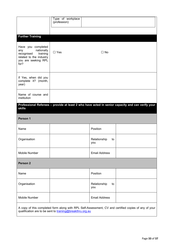|                                                                                                                             | Type of workplace<br>(profession): |                           |                                                                                                      |
|-----------------------------------------------------------------------------------------------------------------------------|------------------------------------|---------------------------|------------------------------------------------------------------------------------------------------|
| <b>Further Training</b>                                                                                                     |                                    |                           |                                                                                                      |
| Have you completed<br>nationally<br>any<br>training<br>recognised<br>related to the industry<br>you are seeking RPL<br>for? | $\Box$ Yes                         | $\Box$ No                 |                                                                                                      |
| If Yes, when did you<br>complete it? (month,<br>year)                                                                       |                                    |                           |                                                                                                      |
| Name of course and<br>institution                                                                                           |                                    |                           |                                                                                                      |
| <b>skills</b>                                                                                                               |                                    |                           | Professional Referees - provide at least 2 who have acted in senior capacity and can verify your     |
| Person 1                                                                                                                    |                                    |                           |                                                                                                      |
| Name                                                                                                                        |                                    | Position                  |                                                                                                      |
| Organisation                                                                                                                |                                    | Relationship<br>to<br>you |                                                                                                      |
| Mobile Number                                                                                                               |                                    | <b>Email Address</b>      |                                                                                                      |
| Person <sub>2</sub>                                                                                                         |                                    |                           |                                                                                                      |
| Name                                                                                                                        |                                    | Position                  |                                                                                                      |
| Organisation                                                                                                                |                                    | Relationship<br>to<br>you |                                                                                                      |
| Mobile Number                                                                                                               |                                    | <b>Email Address</b>      |                                                                                                      |
| qualification are to be sent to training@breakthru.org.au                                                                   |                                    |                           | A copy of this completed form along with RPL Self-Assessment, CV and certified copies of any of your |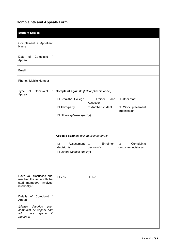# **Complaints and Appeals Form**

| <b>Student Details</b>                                                                                                                   |                                                                                                                                                                                                                                                                                                                                                                                                                                                    |
|------------------------------------------------------------------------------------------------------------------------------------------|----------------------------------------------------------------------------------------------------------------------------------------------------------------------------------------------------------------------------------------------------------------------------------------------------------------------------------------------------------------------------------------------------------------------------------------------------|
| Complainant / Appellant<br>Name                                                                                                          |                                                                                                                                                                                                                                                                                                                                                                                                                                                    |
| Complaint<br>Date<br>of<br>$\prime$<br>Appeal                                                                                            |                                                                                                                                                                                                                                                                                                                                                                                                                                                    |
| Email                                                                                                                                    |                                                                                                                                                                                                                                                                                                                                                                                                                                                    |
| Phone / Mobile Number                                                                                                                    |                                                                                                                                                                                                                                                                                                                                                                                                                                                    |
| Complaint<br>Type of<br>$\prime$<br>Appeal                                                                                               | Complaint against: (tick applicable one/s)<br>□ Breakthru College<br>Trainer<br>$\Box$ Other staff<br>$\Box$<br>and<br>Assessor<br>□ Third-party<br>$\Box$ Another student<br>□ Work placement<br>organisation<br>$\Box$ Others (please specify)<br>Appeals against: (tick applicable one/s)<br>Enrolment<br>Complaints<br>Assessment<br>□<br>$\Box$<br>$\Box$<br>decision/s<br>outcome decision/s<br>decision/s<br>$\Box$ Others (please specify) |
| Have you discussed and<br>resolved the issue with the<br>staff member/s involved<br>informally?                                          | $\square$ Yes<br>$\Box$ No                                                                                                                                                                                                                                                                                                                                                                                                                         |
| of Complaint /<br>Details<br>Appeal<br>(please<br>describe<br>your<br>complaint or appeal and<br>if<br>add<br>more<br>space<br>required) |                                                                                                                                                                                                                                                                                                                                                                                                                                                    |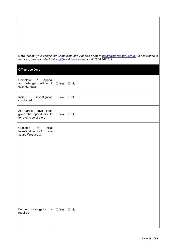|                                                                                                | Note: submit your completed Complaints and Appeals Form to training@breakthru.org.au. If assistance is<br>required, please contact training@breakthru.org, au or call 1800 767 212. |
|------------------------------------------------------------------------------------------------|-------------------------------------------------------------------------------------------------------------------------------------------------------------------------------------|
| <b>Office Use Only</b>                                                                         |                                                                                                                                                                                     |
| Complaint<br>Appeal<br>$\sqrt{2}$<br>acknowledged<br>within $7 \mid \Box$ Yes<br>calendar days | $\Box$ No                                                                                                                                                                           |
| Initial<br>investigation<br>conducted                                                          | $\Box$ Yes<br>$\Box$ No                                                                                                                                                             |
| All parties have been<br>given the opportunity to<br>tell their side of story                  | $\Box$ Yes<br>$\Box$ No                                                                                                                                                             |
| Initial<br>Outcome<br>of<br>Investigation (add more<br>space if required)                      |                                                                                                                                                                                     |
|                                                                                                |                                                                                                                                                                                     |
|                                                                                                |                                                                                                                                                                                     |
|                                                                                                |                                                                                                                                                                                     |
|                                                                                                |                                                                                                                                                                                     |
|                                                                                                |                                                                                                                                                                                     |
| investigation is<br>Further<br>required                                                        | $\Box$ Yes<br>$\Box$ No                                                                                                                                                             |
|                                                                                                |                                                                                                                                                                                     |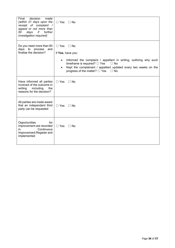| decision<br>made<br>Final<br>(within 21 days upon the<br>receipt of complaint /<br>appeal or not more than<br>further<br>60<br>days<br>if<br>investigation required) | $\Box$ Yes<br>⊟ No                                                                                                                                                                                                                                                                                     |
|----------------------------------------------------------------------------------------------------------------------------------------------------------------------|--------------------------------------------------------------------------------------------------------------------------------------------------------------------------------------------------------------------------------------------------------------------------------------------------------|
| Do you need more than 60<br>days to process<br>and<br>finalise the decision?                                                                                         | $\Box$ Yes<br>$\Box$ No<br>If Yes, have you:<br>Informed the complaint / appellant in writing, outlining why such<br>$\bullet$<br>timeframe is required? $\Box$ Yes<br>$\Box$ No<br>Kept the complainant / appellant updated every two weeks on the<br>progress of the matter? $\Box$ Yes<br>$\Box$ No |
| Have informed all parties<br>involved of the outcome in<br>writing<br>including<br>the<br>reasons for the decision?                                                  | $\Box$ Yes<br>$\Box$ No                                                                                                                                                                                                                                                                                |
| All parties are made aware<br>that an independent third<br>party can be requested                                                                                    | $\Box$ Yes<br>$\Box$ No                                                                                                                                                                                                                                                                                |
| Opportunities<br>for<br>improvement are recorded<br>Continuous<br>in<br>Improvement Register and<br>implemented                                                      | $\Box$ Yes<br>$\Box$ No                                                                                                                                                                                                                                                                                |